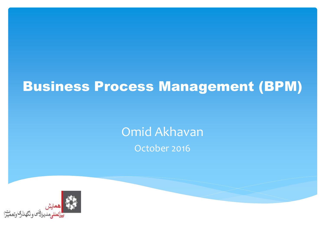# Business Process Management (BPM)

Omid Akhavan October 2016

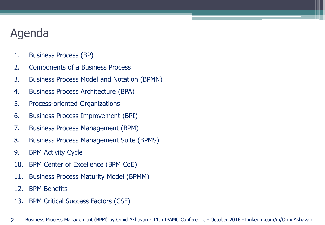## Agenda

- 1. Business Process (BP)
- 2. Components of a Business Process
- 3. Business Process Model and Notation (BPMN)
- 4. Business Process Architecture (BPA)
- 5. Process-oriented Organizations
- 6. Business Process Improvement (BPI)
- 7. Business Process Management (BPM)
- 8. Business Process Management Suite (BPMS)
- 9. BPM Activity Cycle
- 10. BPM Center of Excellence (BPM CoE)
- 11. Business Process Maturity Model (BPMM)
- 12. BPM Benefits
- 13. BPM Critical Success Factors (CSF)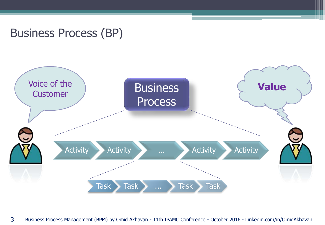#### Business Process (BP)

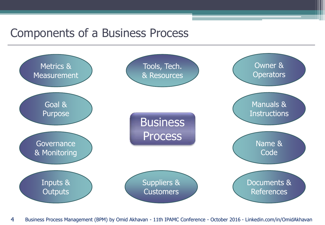#### Components of a Business Process

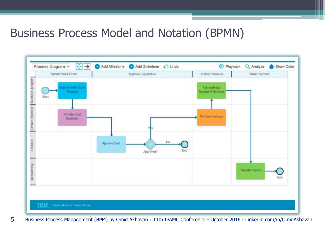#### Business Process Model and Notation (BPMN)



5 Business Process Management (BPM) by Omid Akhavan - 11th IPAMC Conference - October 2016 - Linkedin.com/in/OmidAkhavan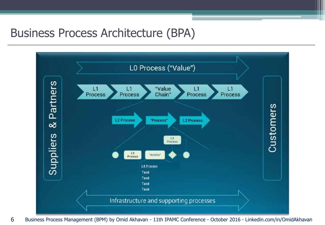#### Business Process Architecture (BPA)

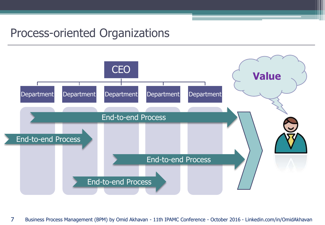#### Process-oriented Organizations

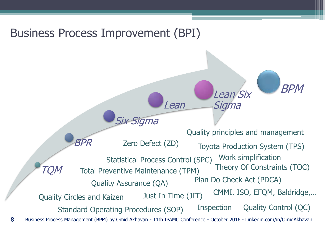#### Business Process Improvement (BPI)

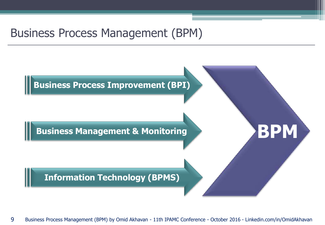#### Business Process Management (BPM)

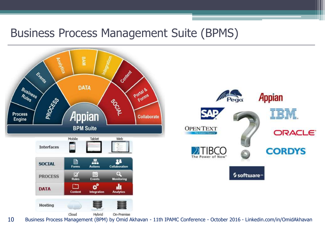#### Business Process Management Suite (BPMS)

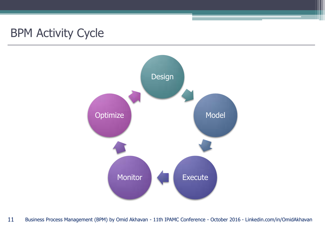## BPM Activity Cycle

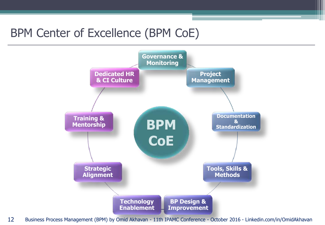## BPM Center of Excellence (BPM CoE)

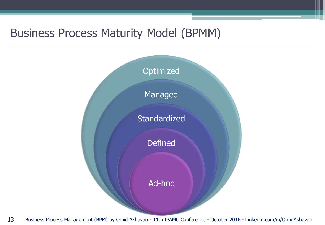#### Business Process Maturity Model (BPMM)

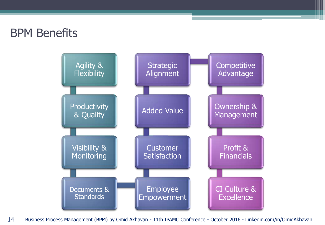#### BPM Benefits

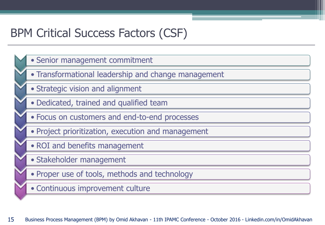## BPM Critical Success Factors (CSF)

• Senior management commitment • Transformational leadership and change management • Strategic vision and alignment • Dedicated, trained and qualified team • Focus on customers and end-to-end processes • Project prioritization, execution and management • ROI and benefits management • Stakeholder management • Proper use of tools, methods and technology • Continuous improvement culture